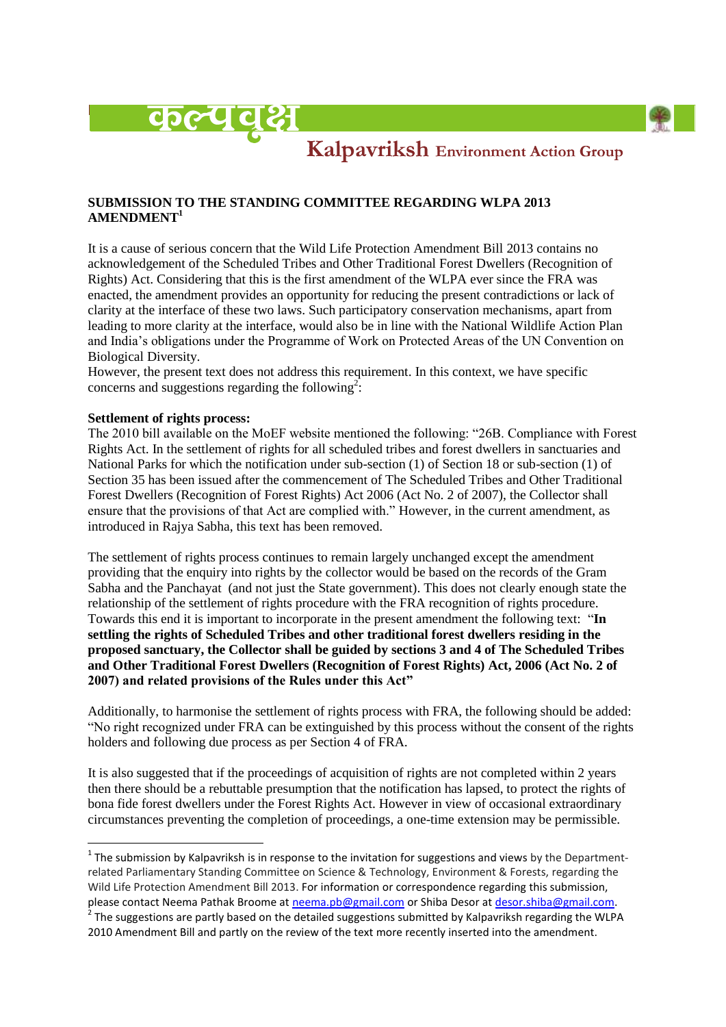



# Kalpavriksh Environment Action Group

## **SUBMISSION TO THE STANDING COMMITTEE REGARDING WLPA 2013 AMENDMENT<sup>1</sup>**

It is a cause of serious concern that the Wild Life Protection Amendment Bill 2013 contains no acknowledgement of the Scheduled Tribes and Other Traditional Forest Dwellers (Recognition of Rights) Act. Considering that this is the first amendment of the WLPA ever since the FRA was enacted, the amendment provides an opportunity for reducing the present contradictions or lack of clarity at the interface of these two laws. Such participatory conservation mechanisms, apart from leading to more clarity at the interface, would also be in line with the National Wildlife Action Plan and India"s obligations under the Programme of Work on Protected Areas of the UN Convention on Biological Diversity.

However, the present text does not address this requirement. In this context, we have specific concerns and suggestions regarding the following<sup>2</sup>:

#### **Settlement of rights process:**

The 2010 bill available on the MoEF website mentioned the following: "26B. Compliance with Forest Rights Act. In the settlement of rights for all scheduled tribes and forest dwellers in sanctuaries and National Parks for which the notification under sub-section (1) of Section 18 or sub-section (1) of Section 35 has been issued after the commencement of The Scheduled Tribes and Other Traditional Forest Dwellers (Recognition of Forest Rights) Act 2006 (Act No. 2 of 2007), the Collector shall ensure that the provisions of that Act are complied with." However, in the current amendment, as introduced in Rajya Sabha, this text has been removed.

The settlement of rights process continues to remain largely unchanged except the amendment providing that the enquiry into rights by the collector would be based on the records of the Gram Sabha and the Panchayat (and not just the State government). This does not clearly enough state the relationship of the settlement of rights procedure with the FRA recognition of rights procedure. Towards this end it is important to incorporate in the present amendment the following text: "**In settling the rights of Scheduled Tribes and other traditional forest dwellers residing in the proposed sanctuary, the Collector shall be guided by sections 3 and 4 of The Scheduled Tribes and Other Traditional Forest Dwellers (Recognition of Forest Rights) Act, 2006 (Act No. 2 of 2007) and related provisions of the Rules under this Act"**

Additionally, to harmonise the settlement of rights process with FRA, the following should be added: "No right recognized under FRA can be extinguished by this process without the consent of the rights holders and following due process as per Section 4 of FRA.

It is also suggested that if the proceedings of acquisition of rights are not completed within 2 years then there should be a rebuttable presumption that the notification has lapsed, to protect the rights of bona fide forest dwellers under the Forest Rights Act. However in view of occasional extraordinary circumstances preventing the completion of proceedings, a one-time extension may be permissible.

 1 The submission by Kalpavriksh is in response to the invitation for suggestions and views by the Departmentrelated Parliamentary Standing Committee on Science & Technology, Environment & Forests, regarding the Wild Life Protection Amendment Bill 2013. For information or correspondence regarding this submission, please contact Neema Pathak Broome at [neema.pb@gmail.com](mailto:neema.pb@gmail.com) or Shiba Desor at [desor.shiba@gmail.com.](mailto:desor.shiba@gmail.com) 2 The suggestions are partly based on the detailed suggestions submitted by Kalpavriksh regarding the WLPA

<sup>2010</sup> Amendment Bill and partly on the review of the text more recently inserted into the amendment.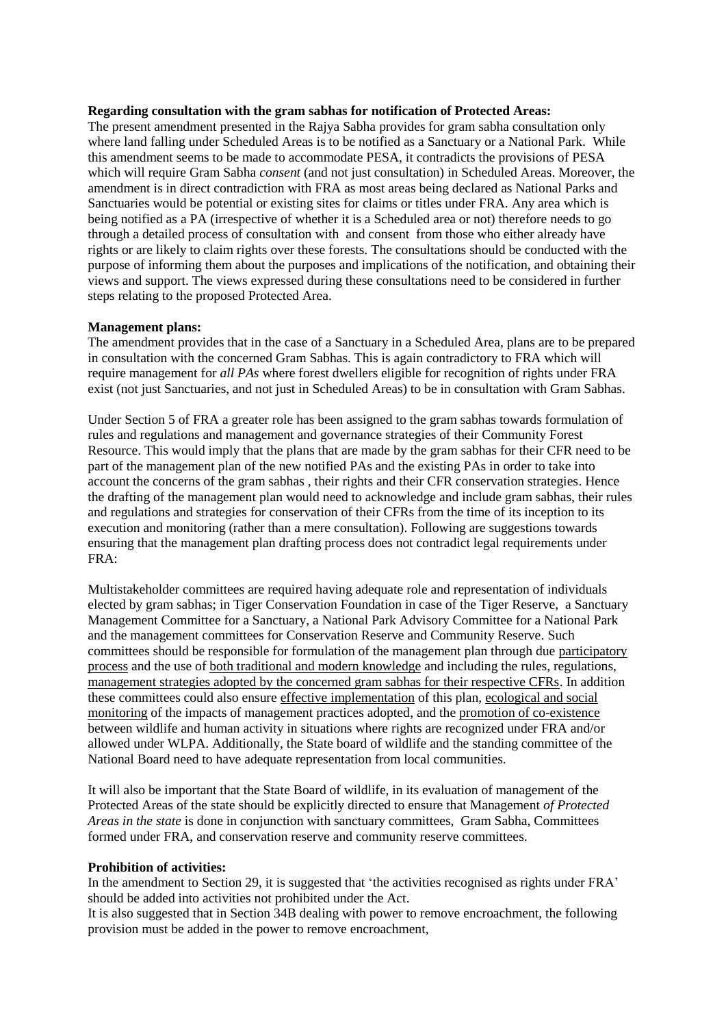#### **Regarding consultation with the gram sabhas for notification of Protected Areas:**

The present amendment presented in the Rajya Sabha provides for gram sabha consultation only where land falling under Scheduled Areas is to be notified as a Sanctuary or a National Park. While this amendment seems to be made to accommodate PESA, it contradicts the provisions of PESA which will require Gram Sabha *consent* (and not just consultation) in Scheduled Areas. Moreover, the amendment is in direct contradiction with FRA as most areas being declared as National Parks and Sanctuaries would be potential or existing sites for claims or titles under FRA. Any area which is being notified as a PA (irrespective of whether it is a Scheduled area or not) therefore needs to go through a detailed process of consultation with and consent from those who either already have rights or are likely to claim rights over these forests. The consultations should be conducted with the purpose of informing them about the purposes and implications of the notification, and obtaining their views and support. The views expressed during these consultations need to be considered in further steps relating to the proposed Protected Area.

#### **Management plans:**

The amendment provides that in the case of a Sanctuary in a Scheduled Area, plans are to be prepared in consultation with the concerned Gram Sabhas. This is again contradictory to FRA which will require management for *all PAs* where forest dwellers eligible for recognition of rights under FRA exist (not just Sanctuaries, and not just in Scheduled Areas) to be in consultation with Gram Sabhas.

Under Section 5 of FRA a greater role has been assigned to the gram sabhas towards formulation of rules and regulations and management and governance strategies of their Community Forest Resource. This would imply that the plans that are made by the gram sabhas for their CFR need to be part of the management plan of the new notified PAs and the existing PAs in order to take into account the concerns of the gram sabhas , their rights and their CFR conservation strategies. Hence the drafting of the management plan would need to acknowledge and include gram sabhas, their rules and regulations and strategies for conservation of their CFRs from the time of its inception to its execution and monitoring (rather than a mere consultation). Following are suggestions towards ensuring that the management plan drafting process does not contradict legal requirements under FRA:

Multistakeholder committees are required having adequate role and representation of individuals elected by gram sabhas; in Tiger Conservation Foundation in case of the Tiger Reserve, a Sanctuary Management Committee for a Sanctuary, a National Park Advisory Committee for a National Park and the management committees for Conservation Reserve and Community Reserve. Such committees should be responsible for formulation of the management plan through due participatory process and the use of both traditional and modern knowledge and including the rules, regulations, management strategies adopted by the concerned gram sabhas for their respective CFRs. In addition these committees could also ensure effective implementation of this plan, ecological and social monitoring of the impacts of management practices adopted, and the promotion of co-existence between wildlife and human activity in situations where rights are recognized under FRA and/or allowed under WLPA. Additionally, the State board of wildlife and the standing committee of the National Board need to have adequate representation from local communities.

It will also be important that the State Board of wildlife, in its evaluation of management of the Protected Areas of the state should be explicitly directed to ensure that Management *of Protected Areas in the state* is done in conjunction with sanctuary committees, Gram Sabha, Committees formed under FRA, and conservation reserve and community reserve committees.

### **Prohibition of activities:**

In the amendment to Section 29, it is suggested that 'the activities recognised as rights under FRA' should be added into activities not prohibited under the Act.

It is also suggested that in Section 34B dealing with power to remove encroachment, the following provision must be added in the power to remove encroachment,